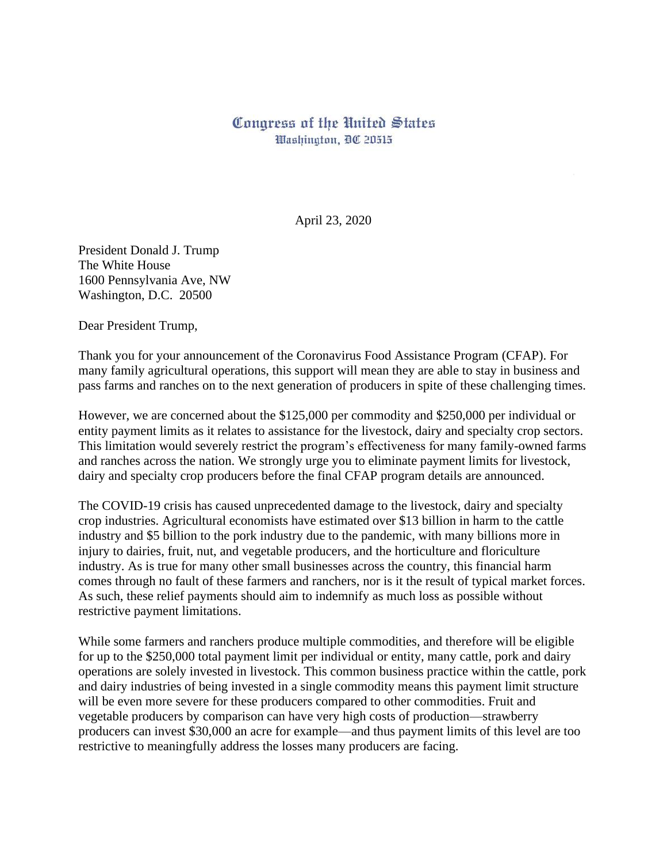## Congress of the United States Washington, DC 20515

April 23, 2020

President Donald J. Trump The White House 1600 Pennsylvania Ave, NW Washington, D.C. 20500

Dear President Trump,

Thank you for your announcement of the Coronavirus Food Assistance Program (CFAP). For many family agricultural operations, this support will mean they are able to stay in business and pass farms and ranches on to the next generation of producers in spite of these challenging times.

However, we are concerned about the \$125,000 per commodity and \$250,000 per individual or entity payment limits as it relates to assistance for the livestock, dairy and specialty crop sectors. This limitation would severely restrict the program's effectiveness for many family-owned farms and ranches across the nation. We strongly urge you to eliminate payment limits for livestock, dairy and specialty crop producers before the final CFAP program details are announced.

The COVID-19 crisis has caused unprecedented damage to the livestock, dairy and specialty crop industries. Agricultural economists have estimated over \$13 billion in harm to the cattle industry and \$5 billion to the pork industry due to the pandemic, with many billions more in injury to dairies, fruit, nut, and vegetable producers, and the horticulture and floriculture industry. As is true for many other small businesses across the country, this financial harm comes through no fault of these farmers and ranchers, nor is it the result of typical market forces. As such, these relief payments should aim to indemnify as much loss as possible without restrictive payment limitations.

While some farmers and ranchers produce multiple commodities, and therefore will be eligible for up to the \$250,000 total payment limit per individual or entity, many cattle, pork and dairy operations are solely invested in livestock. This common business practice within the cattle, pork and dairy industries of being invested in a single commodity means this payment limit structure will be even more severe for these producers compared to other commodities. Fruit and vegetable producers by comparison can have very high costs of production—strawberry producers can invest \$30,000 an acre for example—and thus payment limits of this level are too restrictive to meaningfully address the losses many producers are facing.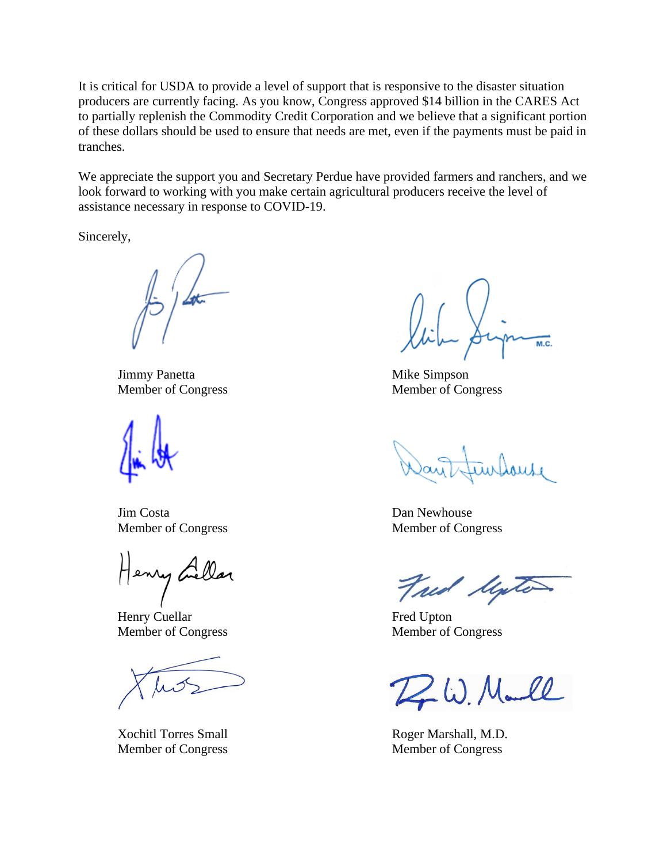It is critical for USDA to provide a level of support that is responsive to the disaster situation producers are currently facing. As you know, Congress approved \$14 billion in the CARES Act to partially replenish the Commodity Credit Corporation and we believe that a significant portion of these dollars should be used to ensure that needs are met, even if the payments must be paid in tranches.

We appreciate the support you and Secretary Perdue have provided farmers and ranchers, and we look forward to working with you make certain agricultural producers receive the level of assistance necessary in response to COVID-19.

Sincerely,

Jimmy Panetta Mike Simpson

**Jim Costa** Dan Newhouse

Henry Gillar

Henry Cuellar Fred Upton Member of Congress Member of Congress

 $M.C.$ 

Member of Congress Member of Congress

Member of Congress Member of Congress

Fred linte

D. W. Marll

Xochitl Torres Small Roger Marshall, M.D. Member of Congress Member of Congress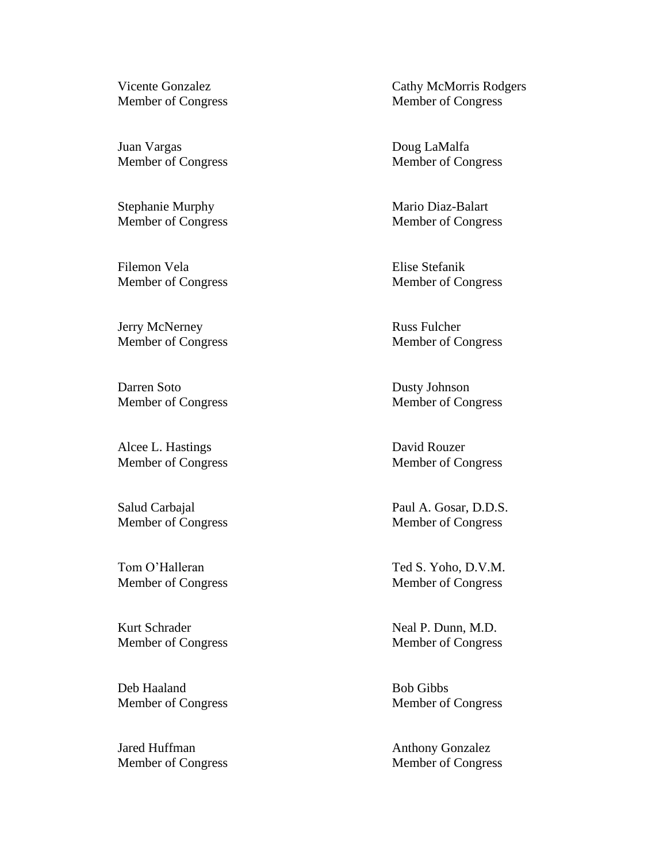Juan Vargas Doug LaMalfa

Stephanie Murphy Mario Diaz-Balart

Filemon Vela **Elise Stefanik** Member of Congress Member of Congress

Jerry McNerney Russ Fulcher

Darren Soto Dusty Johnson Member of Congress Member of Congress

Alcee L. Hastings David Rouzer Member of Congress Member of Congress

Member of Congress Member of Congress

Deb Haaland Bob Gibbs Member of Congress Member of Congress

Jared Huffman Anthony Gonzalez Member of Congress Member of Congress

Vicente Gonzalez **Cathy McMorris Rodgers** Member of Congress Member of Congress

Member of Congress Member of Congress

Member of Congress Member of Congress

Member of Congress Member of Congress

Salud Carbajal Paul A. Gosar, D.D.S. Member of Congress Member of Congress

Tom O'Halleran Ted S. Yoho, D.V.M. Member of Congress Member of Congress

Kurt Schrader Neal P. Dunn, M.D.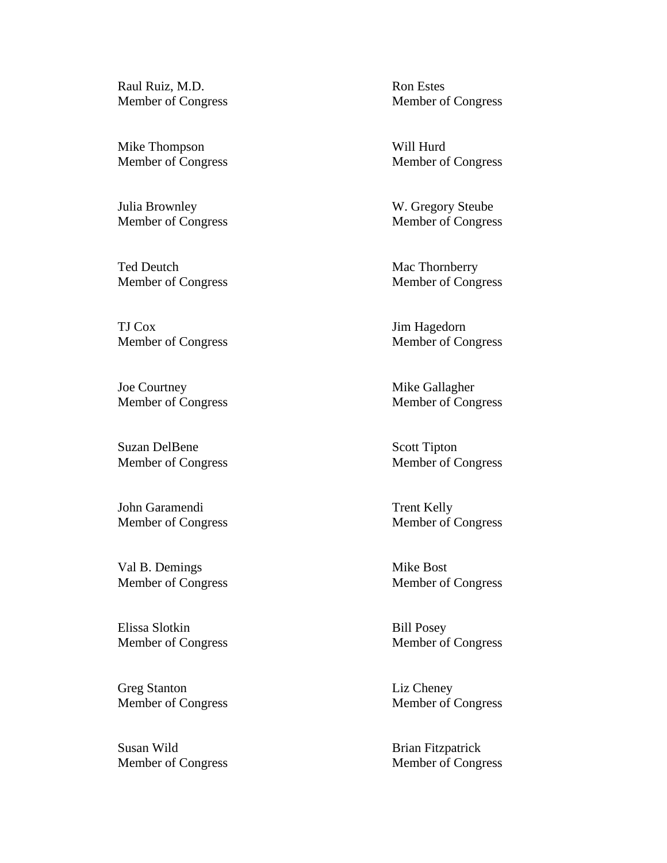Raul Ruiz, M.D. Ron Estes

Mike Thompson Will Hurd

Julia Brownley W. Gregory Steube Member of Congress Member of Congress

Ted Deutch Mac Thornberry Member of Congress Member of Congress

TJ Cox Jim Hagedorn

Joe Courtney Mike Gallagher Member of Congress Member of Congress

Suzan DelBene Scott Tipton Member of Congress Member of Congress

John Garamendi Trent Kelly Member of Congress Member of Congress

Val B. Demings Mike Bost Member of Congress Member of Congress

Elissa Slotkin Bill Posey Member of Congress Member of Congress

Greg Stanton Liz Cheney Member of Congress Member of Congress

Susan Wild Brian Fitzpatrick Member of Congress Member of Congress

Member of Congress Member of Congress

Member of Congress Member of Congress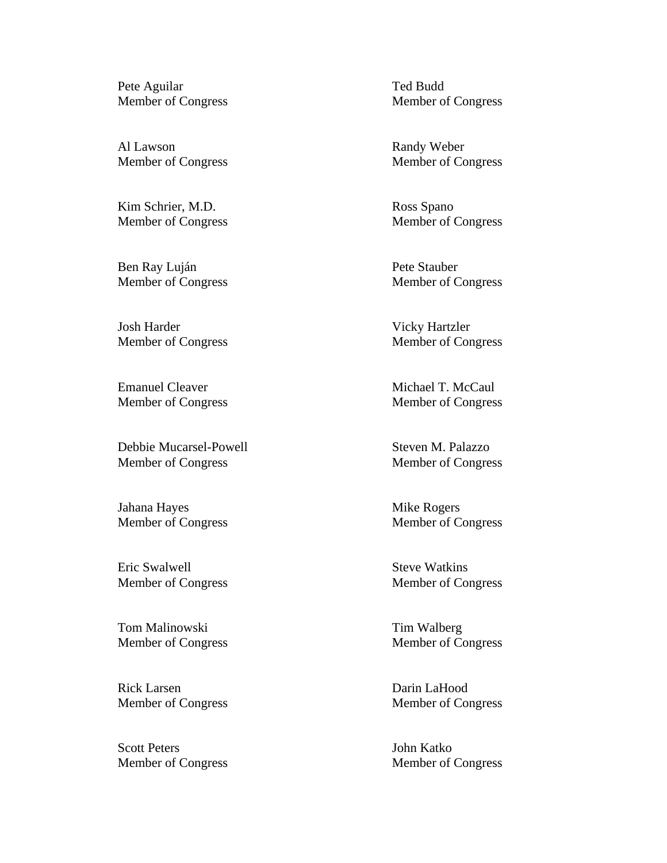Pete Aguilar Ted Budd

Al Lawson Randy Weber

Kim Schrier, M.D. Ross Spano

Ben Ray Luján Pete Stauber Member of Congress Member of Congress

Josh Harder Vicky Hartzler

Emanuel Cleaver Michael T. McCaul Member of Congress Member of Congress

Debbie Mucarsel-Powell Steven M. Palazzo Member of Congress Member of Congress

Jahana Hayes Mike Rogers Member of Congress Member of Congress

Eric Swalwell Steve Watkins

Tom Malinowski Tim Walberg

Rick Larsen Darin LaHood Member of Congress Member of Congress

Scott Peters John Katko Member of Congress Member of Congress

Member of Congress Member of Congress

Member of Congress Member of Congress

Member of Congress Member of Congress

Member of Congress Member of Congress

Member of Congress Member of Congress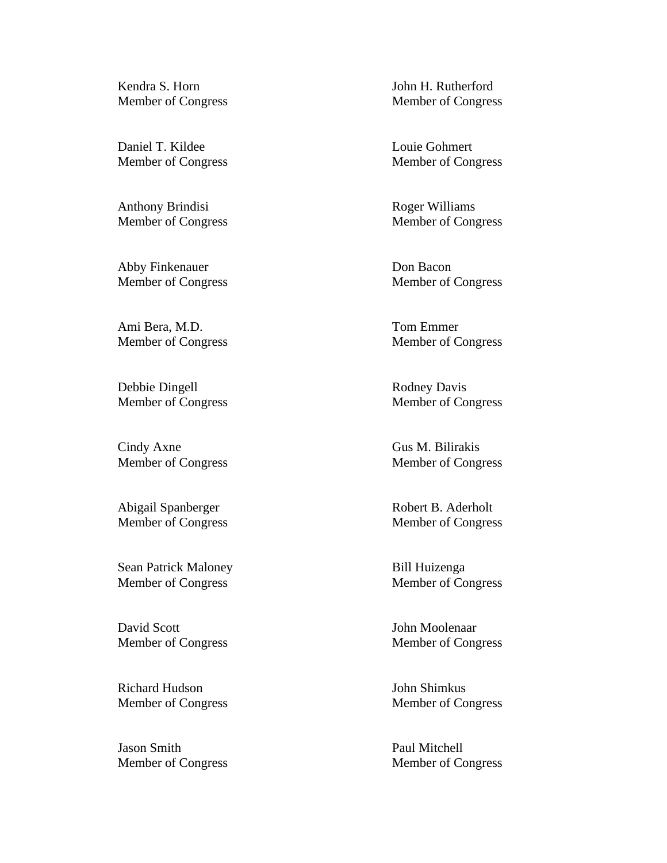Kendra S. Horn John H. Rutherford

Daniel T. Kildee Louie Gohmert

Anthony Brindisi Roger Williams

Abby Finkenauer Don Bacon Member of Congress Member of Congress

Ami Bera, M.D. Tom Emmer

Debbie Dingell Rodney Davis Member of Congress Member of Congress

Cindy Axne Gus M. Bilirakis Member of Congress Member of Congress

Member of Congress Member of Congress

Sean Patrick Maloney Bill Huizenga Member of Congress Member of Congress

David Scott John Moolenaar Member of Congress Member of Congress

Richard Hudson John Shimkus

Jason Smith Paul Mitchell Member of Congress Member of Congress

Member of Congress Member of Congress

Member of Congress Member of Congress

Member of Congress Member of Congress

Member of Congress Member of Congress

Abigail Spanberger Robert B. Aderholt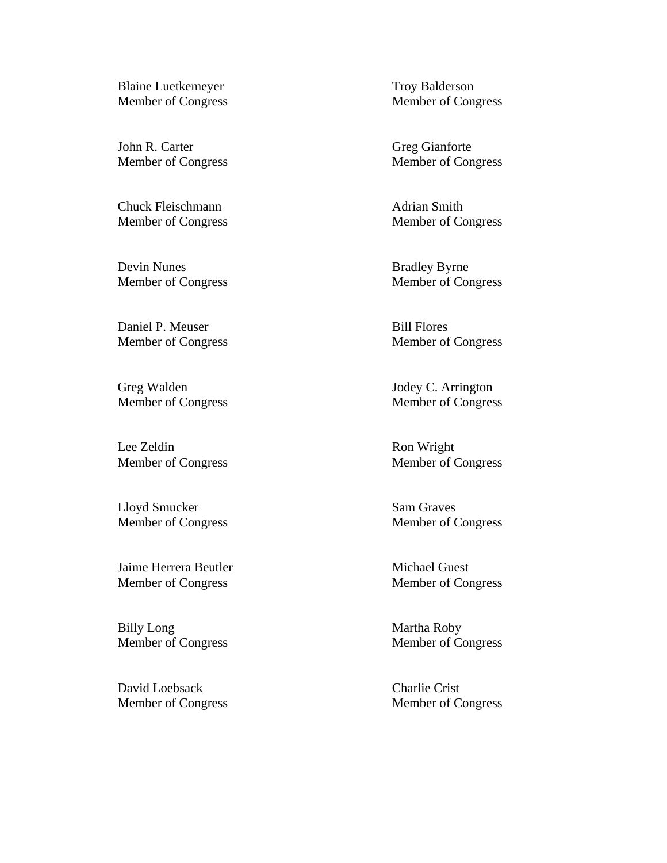Blaine Luetkemeyer Troy Balderson

John R. Carter Greg Gianforte

Chuck Fleischmann **Adrian** Smith

Devin Nunes Bradley Byrne Member of Congress Member of Congress

Daniel P. Meuser Bill Flores

Greg Walden Jodey C. Arrington Member of Congress Member of Congress

Lee Zeldin Ron Wright Member of Congress Member of Congress

Lloyd Smucker Sam Graves Member of Congress Member of Congress

Jaime Herrera Beutler Michael Guest Member of Congress Member of Congress

Billy Long Martha Roby Member of Congress Member of Congress

David Loebsack Charlie Crist Member of Congress Member of Congress

Member of Congress Member of Congress

Member of Congress Member of Congress

Member of Congress Member of Congress